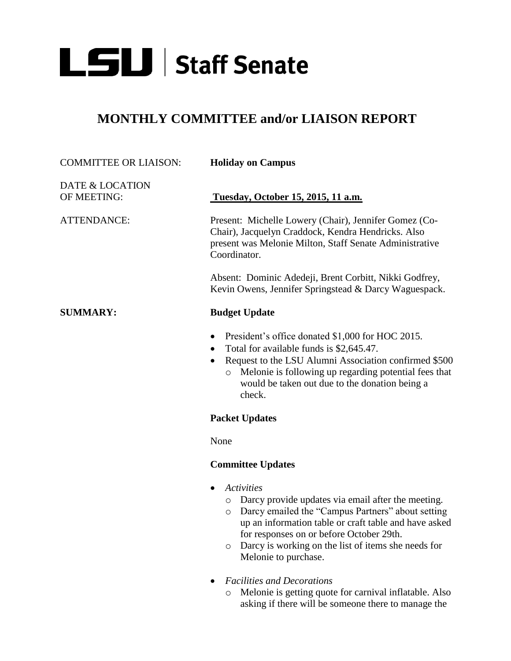

## **MONTHLY COMMITTEE and/or LIAISON REPORT**

| <b>COMMITTEE OR LIAISON:</b>   | <b>Holiday on Campus</b>                                                                                                                                                                                                                                                                           |
|--------------------------------|----------------------------------------------------------------------------------------------------------------------------------------------------------------------------------------------------------------------------------------------------------------------------------------------------|
| DATE & LOCATION<br>OF MEETING: | Tuesday, October 15, 2015, 11 a.m.                                                                                                                                                                                                                                                                 |
| <b>ATTENDANCE:</b>             | Present: Michelle Lowery (Chair), Jennifer Gomez (Co-<br>Chair), Jacquelyn Craddock, Kendra Hendricks. Also<br>present was Melonie Milton, Staff Senate Administrative<br>Coordinator.                                                                                                             |
|                                | Absent: Dominic Adedeji, Brent Corbitt, Nikki Godfrey,<br>Kevin Owens, Jennifer Springstead & Darcy Waguespack.                                                                                                                                                                                    |
| <b>SUMMARY:</b>                | <b>Budget Update</b>                                                                                                                                                                                                                                                                               |
|                                | President's office donated \$1,000 for HOC 2015.<br>$\bullet$<br>Total for available funds is \$2,645.47.<br>Request to the LSU Alumni Association confirmed \$500<br>Melonie is following up regarding potential fees that<br>$\circ$<br>would be taken out due to the donation being a<br>check. |
|                                | <b>Packet Updates</b>                                                                                                                                                                                                                                                                              |
|                                | None                                                                                                                                                                                                                                                                                               |
|                                | <b>Committee Updates</b>                                                                                                                                                                                                                                                                           |
|                                | <b>Activities</b><br>$\bullet$<br>Darcy provide updates via email after the meeting.<br>$\circ$<br>Darcy emailed the "Campus Partners" about setting<br>$\circ$<br>up an information table or craft table and have asked                                                                           |

- for responses on or before October 29th. o Darcy is working on the list of items she needs for Melonie to purchase.
- *Facilities and Decorations*
	- o Melonie is getting quote for carnival inflatable. Also asking if there will be someone there to manage the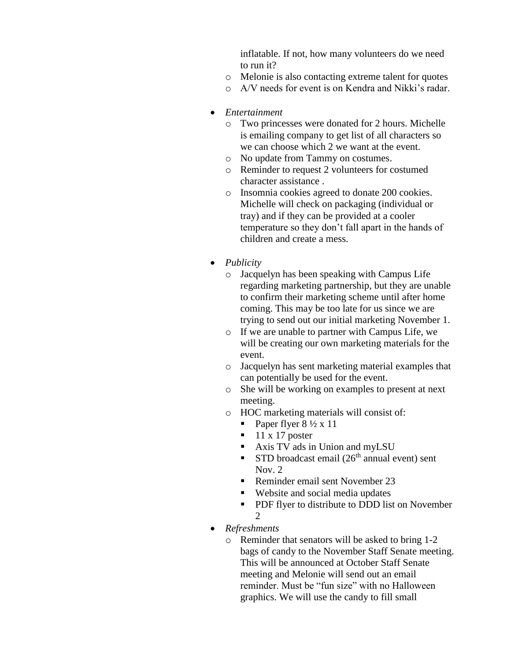inflatable. If not, how many volunteers do we need to run it?

- o Melonie is also contacting extreme talent for quotes
- o A/V needs for event is on Kendra and Nikki's radar.
- *Entertainment*
	- o Two princesses were donated for 2 hours. Michelle is emailing company to get list of all characters so we can choose which 2 we want at the event.
	- o No update from Tammy on costumes.
	- o Reminder to request 2 volunteers for costumed character assistance .
	- o Insomnia cookies agreed to donate 200 cookies. Michelle will check on packaging (individual or tray) and if they can be provided at a cooler temperature so they don't fall apart in the hands of children and create a mess.
- *Publicity*
	- o Jacquelyn has been speaking with Campus Life regarding marketing partnership, but they are unable to confirm their marketing scheme until after home coming. This may be too late for us since we are trying to send out our initial marketing November 1.
	- o If we are unable to partner with Campus Life, we will be creating our own marketing materials for the event.
	- o Jacquelyn has sent marketing material examples that can potentially be used for the event.
	- o She will be working on examples to present at next meeting.
	- o HOC marketing materials will consist of:
		- Paper flyer  $8\frac{1}{2} \times 11$
		- $\blacksquare$  11 x 17 poster
		- Axis TV ads in Union and myLSU
		- STD broadcast email  $(26<sup>th</sup>$  annual event) sent Nov. 2
		- Reminder email sent November 23
		- Website and social media updates
		- **PDF** flyer to distribute to DDD list on November  $\mathfrak{D}$
- *Refreshments*
	- o Reminder that senators will be asked to bring 1-2 bags of candy to the November Staff Senate meeting. This will be announced at October Staff Senate meeting and Melonie will send out an email reminder. Must be "fun size" with no Halloween graphics. We will use the candy to fill small